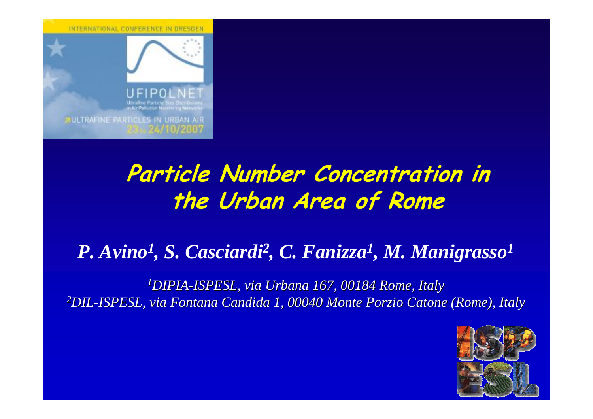INTERNATIONAL CONFERENCE IN DRESDEN



**SIULTRAFINE PARTICLES IN URBAN AI** 

# **Particle Number Concentration in the Urban Area of Rome**

#### *P. Avino 1, S. Casciardi2, C. Fanizza 1, M. Manigrasso 1*

*1DIPIA -ISPESL, via Urbana 167, 00184 ISPESL, via Urbana 167, 00184 Rome, Italy , Italy 2DIL -ISPESL, via Fontana Candida 1, 00040 M ISPESL, via Fontana Candida 1, 00040 Monte Porzio Catone ( Catone (Rome), Italy ), Italy*

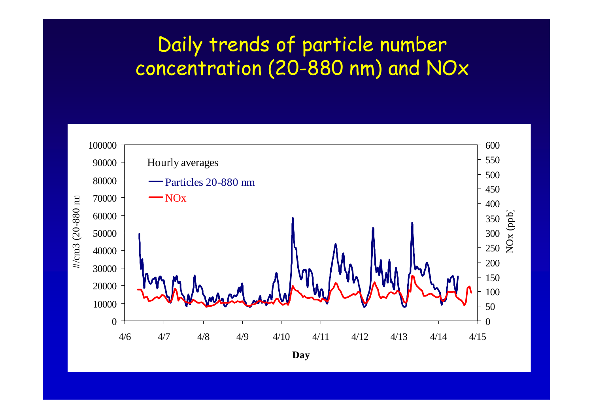#### Daily trends of particle number concentration (20-880 nm) and NOx

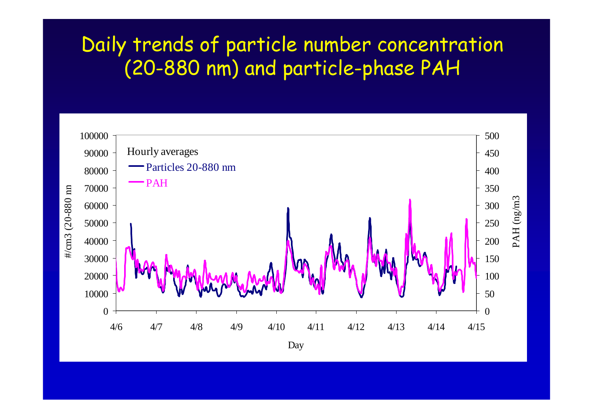#### Daily trends of particle number concentration (20-880 nm) and particle-phase PAH

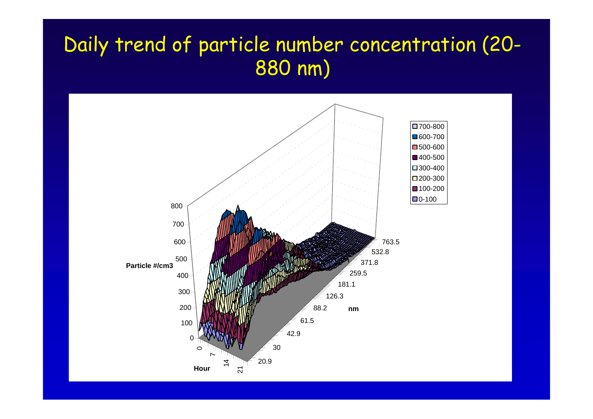## Daily trend of particle number concentration (20- 880 nm)

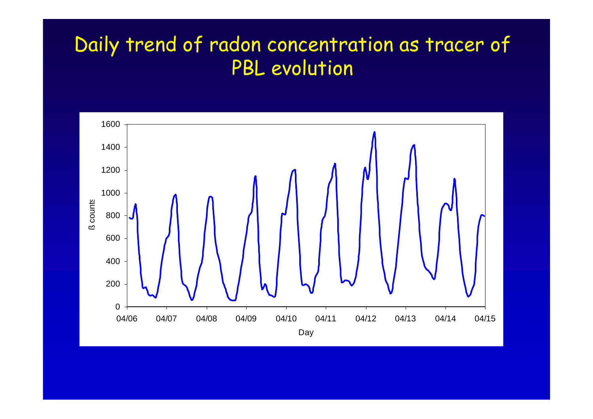## Daily trend of radon concentration as tracer of PBL evolution